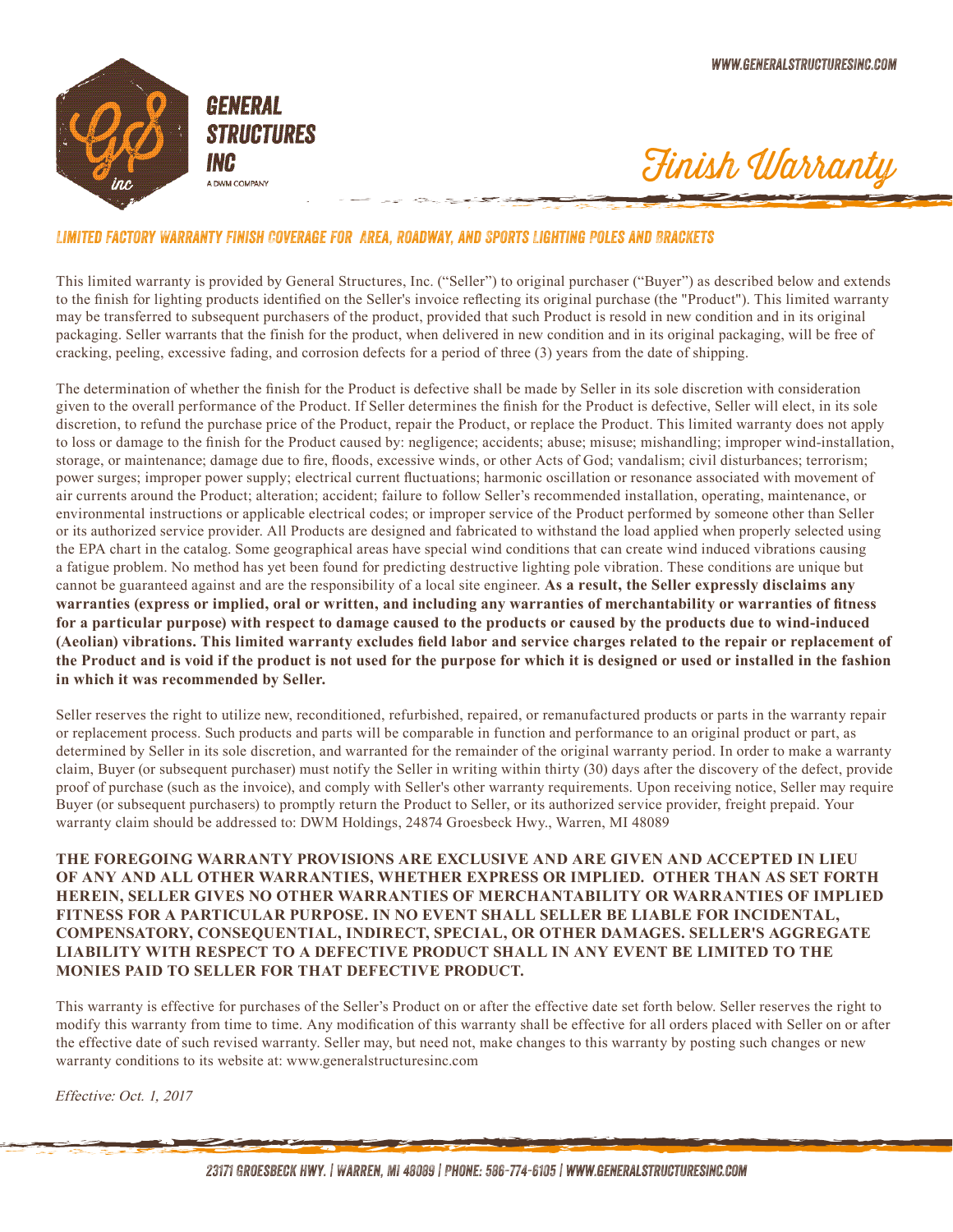

# Finish Warranty

## *Limited Factory Warranty Finish Coverage for Area, Roadway, and Sports Lighting Poles and Brackets*

This limited warranty is provided by General Structures, Inc. ("Seller") to original purchaser ("Buyer") as described below and extends to the finish for lighting products identified on the Seller's invoice reflecting its original purchase (the "Product"). This limited warranty may be transferred to subsequent purchasers of the product, provided that such Product is resold in new condition and in its original packaging. Seller warrants that the finish for the product, when delivered in new condition and in its original packaging, will be free of cracking, peeling, excessive fading, and corrosion defects for a period of three (3) years from the date of shipping.

The determination of whether the finish for the Product is defective shall be made by Seller in its sole discretion with consideration given to the overall performance of the Product. If Seller determines the finish for the Product is defective, Seller will elect, in its sole discretion, to refund the purchase price of the Product, repair the Product, or replace the Product. This limited warranty does not apply to loss or damage to the finish for the Product caused by: negligence; accidents; abuse; misuse; mishandling; improper wind-installation, storage, or maintenance; damage due to fire, floods, excessive winds, or other Acts of God; vandalism; civil disturbances; terrorism; power surges; improper power supply; electrical current fluctuations; harmonic oscillation or resonance associated with movement of air currents around the Product; alteration; accident; failure to follow Seller's recommended installation, operating, maintenance, or environmental instructions or applicable electrical codes; or improper service of the Product performed by someone other than Seller or its authorized service provider. All Products are designed and fabricated to withstand the load applied when properly selected using the EPA chart in the catalog. Some geographical areas have special wind conditions that can create wind induced vibrations causing a fatigue problem. No method has yet been found for predicting destructive lighting pole vibration. These conditions are unique but cannot be guaranteed against and are the responsibility of a local site engineer. **As a result, the Seller expressly disclaims any warranties (express or implied, oral or written, and including any warranties of merchantability or warranties of fitness for a particular purpose) with respect to damage caused to the products or caused by the products due to wind-induced (Aeolian) vibrations. This limited warranty excludes field labor and service charges related to the repair or replacement of the Product and is void if the product is not used for the purpose for which it is designed or used or installed in the fashion in which it was recommended by Seller.**

Seller reserves the right to utilize new, reconditioned, refurbished, repaired, or remanufactured products or parts in the warranty repair or replacement process. Such products and parts will be comparable in function and performance to an original product or part, as determined by Seller in its sole discretion, and warranted for the remainder of the original warranty period. In order to make a warranty claim, Buyer (or subsequent purchaser) must notify the Seller in writing within thirty (30) days after the discovery of the defect, provide proof of purchase (such as the invoice), and comply with Seller's other warranty requirements. Upon receiving notice, Seller may require Buyer (or subsequent purchasers) to promptly return the Product to Seller, or its authorized service provider, freight prepaid. Your warranty claim should be addressed to: DWM Holdings, 24874 Groesbeck Hwy., Warren, MI 48089

**THE FOREGOING WARRANTY PROVISIONS ARE EXCLUSIVE AND ARE GIVEN AND ACCEPTED IN LIEU OF ANY AND ALL OTHER WARRANTIES, WHETHER EXPRESS OR IMPLIED. OTHER THAN AS SET FORTH HEREIN, SELLER GIVES NO OTHER WARRANTIES OF MERCHANTABILITY OR WARRANTIES OF IMPLIED FITNESS FOR A PARTICULAR PURPOSE. IN NO EVENT SHALL SELLER BE LIABLE FOR INCIDENTAL, COMPENSATORY, CONSEQUENTIAL, INDIRECT, SPECIAL, OR OTHER DAMAGES. SELLER'S AGGREGATE LIABILITY WITH RESPECT TO A DEFECTIVE PRODUCT SHALL IN ANY EVENT BE LIMITED TO THE MONIES PAID TO SELLER FOR THAT DEFECTIVE PRODUCT.**

This warranty is effective for purchases of the Seller's Product on or after the effective date set forth below. Seller reserves the right to modify this warranty from time to time. Any modification of this warranty shall be effective for all orders placed with Seller on or after the effective date of such revised warranty. Seller may, but need not, make changes to this warranty by posting such changes or new warranty conditions to its website at: www.generalstructuresinc.com

Effective: Oct. 1, 2017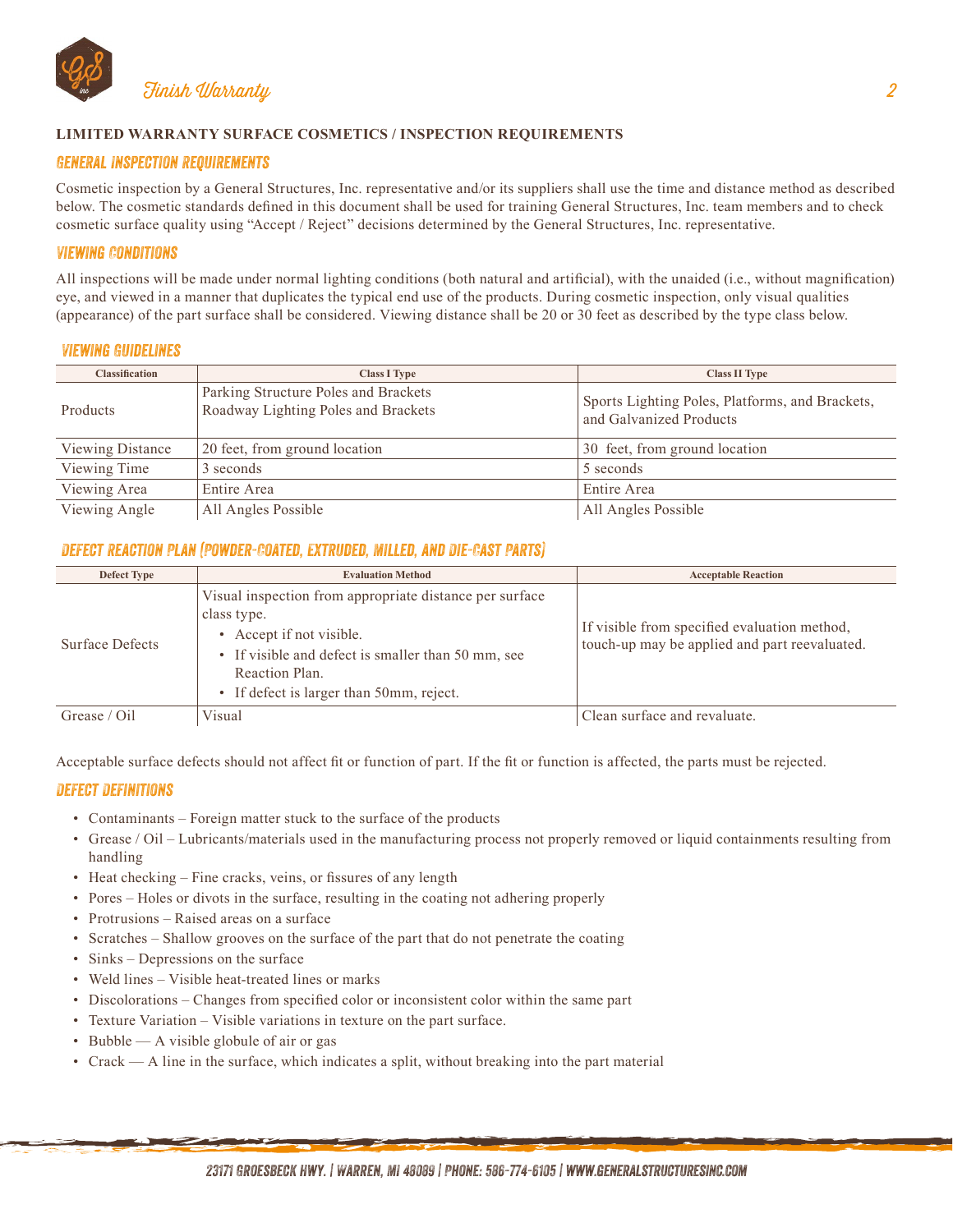

## **LIMITED WARRANTY SURFACE COSMETICS / INSPECTION REQUIREMENTS**

## *General Inspection Requirements*

Cosmetic inspection by a General Structures, Inc. representative and/or its suppliers shall use the time and distance method as described below. The cosmetic standards defined in this document shall be used for training General Structures, Inc. team members and to check cosmetic surface quality using "Accept / Reject" decisions determined by the General Structures, Inc. representative.

#### *Viewing Conditions*

All inspections will be made under normal lighting conditions (both natural and artificial), with the unaided (i.e., without magnification) eye, and viewed in a manner that duplicates the typical end use of the products. During cosmetic inspection, only visual qualities (appearance) of the part surface shall be considered. Viewing distance shall be 20 or 30 feet as described by the type class below.

#### *Viewing Guidelines*

| <b>Classification</b> | <b>Class I Type</b>                                                         | <b>Class II Type</b>                                                       |
|-----------------------|-----------------------------------------------------------------------------|----------------------------------------------------------------------------|
| <b>Products</b>       | Parking Structure Poles and Brackets<br>Roadway Lighting Poles and Brackets | Sports Lighting Poles, Platforms, and Brackets,<br>and Galvanized Products |
| Viewing Distance      | 20 feet, from ground location                                               | 30 feet, from ground location                                              |
| Viewing Time          | 3 seconds                                                                   | 5 seconds                                                                  |
| Viewing Area          | Entire Area                                                                 | Entire Area                                                                |
| Viewing Angle         | All Angles Possible                                                         | All Angles Possible                                                        |

## *Defect Reaction Plan (Powder-Coated, Extruded, Milled, and Die-Cast Parts)*

| <b>Defect Type</b>     | <b>Evaluation Method</b>                                                                                                                                                                                               | <b>Acceptable Reaction</b>                                                                    |
|------------------------|------------------------------------------------------------------------------------------------------------------------------------------------------------------------------------------------------------------------|-----------------------------------------------------------------------------------------------|
| <b>Surface Defects</b> | Visual inspection from appropriate distance per surface<br>class type.<br>• Accept if not visible.<br>• If visible and defect is smaller than 50 mm, see<br>Reaction Plan.<br>• If defect is larger than 50mm, reject. | If visible from specified evaluation method,<br>touch-up may be applied and part reevaluated. |
| Grease / Oil           | Visual                                                                                                                                                                                                                 | Clean surface and revaluate.                                                                  |

Acceptable surface defects should not affect fit or function of part. If the fit or function is affected, the parts must be rejected.

## *Defect Definitions*

- Contaminants Foreign matter stuck to the surface of the products
- Grease / Oil Lubricants/materials used in the manufacturing process not properly removed or liquid containments resulting from handling
- Heat checking Fine cracks, veins, or fissures of any length
- Pores Holes or divots in the surface, resulting in the coating not adhering properly
- Protrusions Raised areas on a surface
- Scratches Shallow grooves on the surface of the part that do not penetrate the coating
- Sinks Depressions on the surface
- Weld lines Visible heat-treated lines or marks
- Discolorations Changes from specified color or inconsistent color within the same part
- Texture Variation Visible variations in texture on the part surface.
- Bubble A visible globule of air or gas
- Crack A line in the surface, which indicates a split, without breaking into the part material